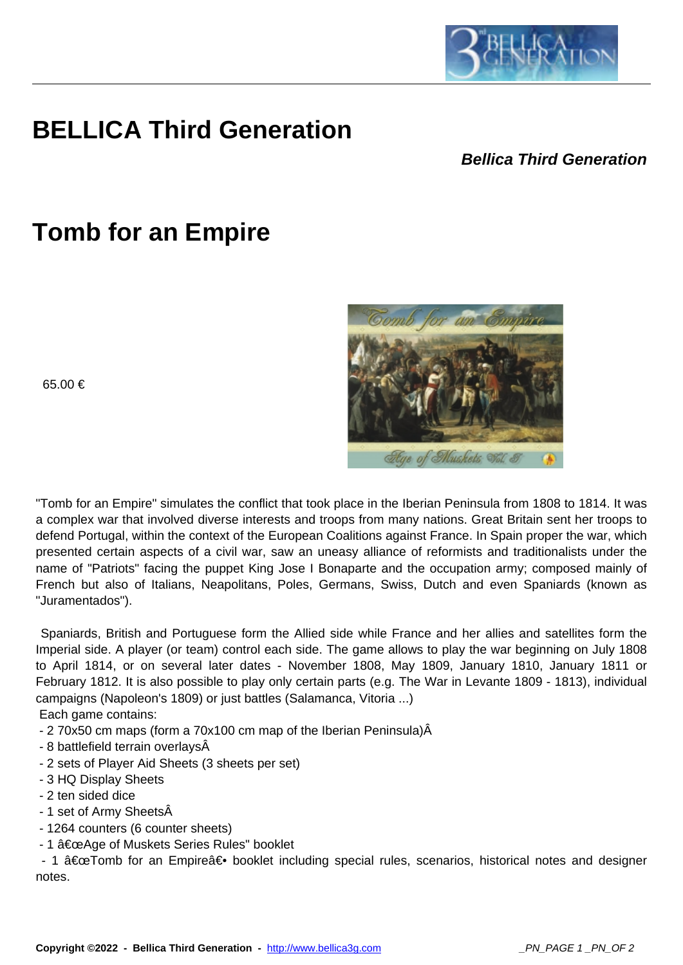

## **BELLICA Third Generation**

## **Bellica Third Generation**

## **Tomb for an Empire**

65.00 €



Hye of Muskets Wol. 3

 $\overline{1}$ 

 Spaniards, British and Portuguese form the Allied side while France and her allies and satellites form the Imperial side. A player (or team) control each side. The game allows to play the war beginning on July 1808 to April 1814, or on several later dates - November 1808, May 1809, January 1810, January 1811 or February 1812. It is also possible to play only certain parts (e.g. The War in Levante 1809 - 1813), individual campaigns (Napoleon's 1809) or just battles (Salamanca, Vitoria ...) Each game contains:

- 2 70x50 cm maps (form a 70x100 cm map of the Iberian Peninsula)Â

- 8 battlefield terrain overlays
- 2 sets of Player Aid Sheets (3 sheets per set)
- 3 HQ Display Sheets
- 2 ten sided dice
- 1 set of Army Sheets
- 1264 counters (6 counter sheets)
- 1 "Age of Muskets Series Rules" booklet

- 1  $â€ceTomb$  for an Empire $―$  booklet including special rules, scenarios, historical notes and designer notes.